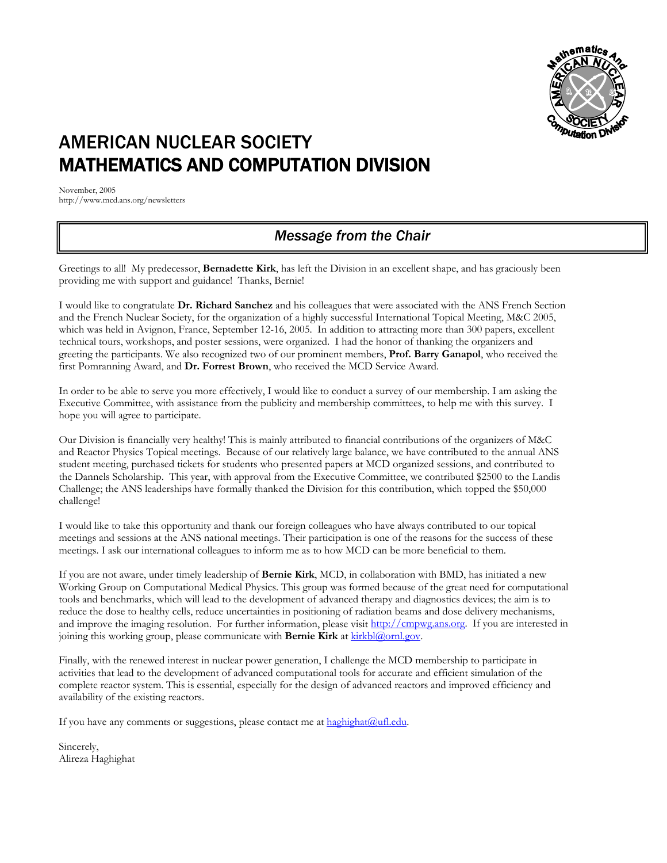

# AMERICAN NUCLEAR SOCIETY MATHEMATICS AND COMPUTATION DIVISION

November, 2005 http://www.mcd.ans.org/newsletters

# *Message from the Chair*

Greetings to all! My predecessor, **Bernadette Kirk**, has left the Division in an excellent shape, and has graciously been providing me with support and guidance! Thanks, Bernie!

I would like to congratulate **Dr. Richard Sanchez** and his colleagues that were associated with the ANS French Section and the French Nuclear Society, for the organization of a highly successful International Topical Meeting, M&C 2005, which was held in Avignon, France, September 12-16, 2005. In addition to attracting more than 300 papers, excellent technical tours, workshops, and poster sessions, were organized. I had the honor of thanking the organizers and greeting the participants. We also recognized two of our prominent members, **Prof. Barry Ganapol**, who received the first Pomranning Award, and **Dr. Forrest Brown**, who received the MCD Service Award.

In order to be able to serve you more effectively, I would like to conduct a survey of our membership. I am asking the Executive Committee, with assistance from the publicity and membership committees, to help me with this survey. I hope you will agree to participate.

Our Division is financially very healthy! This is mainly attributed to financial contributions of the organizers of M&C and Reactor Physics Topical meetings. Because of our relatively large balance, we have contributed to the annual ANS student meeting, purchased tickets for students who presented papers at MCD organized sessions, and contributed to the Dannels Scholarship. This year, with approval from the Executive Committee, we contributed \$2500 to the Landis Challenge; the ANS leaderships have formally thanked the Division for this contribution, which topped the \$50,000 challenge!

I would like to take this opportunity and thank our foreign colleagues who have always contributed to our topical meetings and sessions at the ANS national meetings. Their participation is one of the reasons for the success of these meetings. I ask our international colleagues to inform me as to how MCD can be more beneficial to them.

If you are not aware, under timely leadership of **Bernie Kirk**, MCD, in collaboration with BMD, has initiated a new Working Group on Computational Medical Physics. This group was formed because of the great need for computational tools and benchmarks, which will lead to the development of advanced therapy and diagnostics devices; the aim is to reduce the dose to healthy cells, reduce uncertainties in positioning of radiation beams and dose delivery mechanisms, and improve the imaging resolution. For further information, please visit [http://cmpwg.ans.org.](http://cmpwg.ans.org/) If you are interested in joining this working group, please communicate with **Bernie Kirk** at **kirkbl@ornl.gov**.

Finally, with the renewed interest in nuclear power generation, I challenge the MCD membership to participate in activities that lead to the development of advanced computational tools for accurate and efficient simulation of the complete reactor system. This is essential, especially for the design of advanced reactors and improved efficiency and availability of the existing reactors.

If you have any comments or suggestions, please contact me at [haghighat@ufl.edu.](mailto:haghighat@ufl.edu)

Sincerely, Alireza Haghighat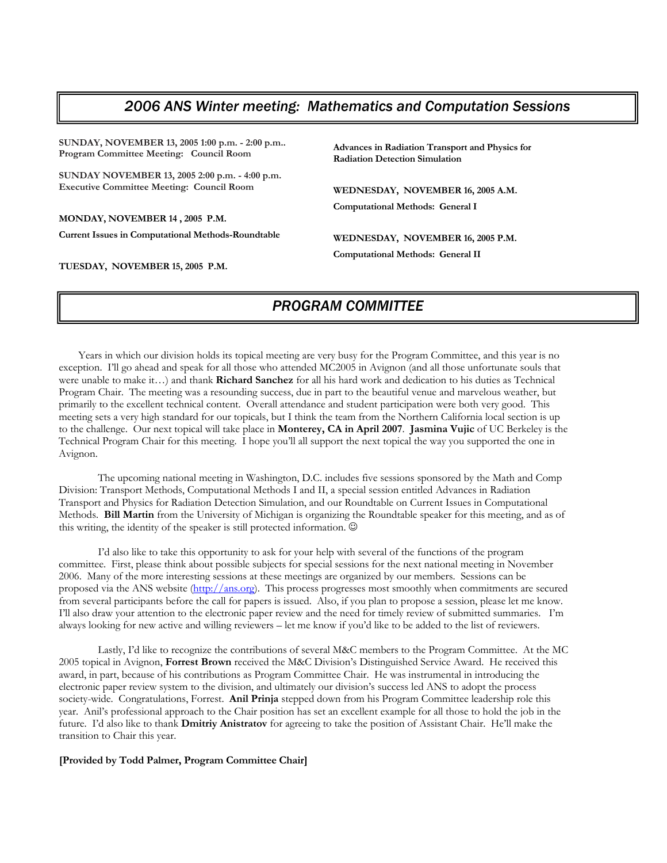## *2006 ANS Winter meeting: Mathematics and Computation Sessions*

**SUNDAY, NOVEMBER 13, 2005 1:00 p.m. - 2:00 p.m.. Program Committee Meeting: Council Room** 

**SUNDAY NOVEMBER 13, 2005 2:00 p.m. - 4:00 p.m. Executive Committee Meeting: Council Room**

**MONDAY, NOVEMBER 14 , 2005 P.M.** 

**Current Issues in Computational Methods-Roundtable** 

**TUESDAY, NOVEMBER 15, 2005 P.M.** 

**Advances in Radiation Transport and Physics for Radiation Detection Simulation** 

**WEDNESDAY, NOVEMBER 16, 2005 A.M. Computational Methods: General I** 

**WEDNESDAY, NOVEMBER 16, 2005 P.M. Computational Methods: General II** 

# *PROGRAM COMMITTEE*

Years in which our division holds its topical meeting are very busy for the Program Committee, and this year is no exception. I'll go ahead and speak for all those who attended MC2005 in Avignon (and all those unfortunate souls that were unable to make it…) and thank **Richard Sanchez** for all his hard work and dedication to his duties as Technical Program Chair. The meeting was a resounding success, due in part to the beautiful venue and marvelous weather, but primarily to the excellent technical content. Overall attendance and student participation were both very good. This meeting sets a very high standard for our topicals, but I think the team from the Northern California local section is up to the challenge. Our next topical will take place in **Monterey, CA in April 2007**. **Jasmina Vujic** of UC Berkeley is the Technical Program Chair for this meeting. I hope you'll all support the next topical the way you supported the one in Avignon.

 The upcoming national meeting in Washington, D.C. includes five sessions sponsored by the Math and Comp Division: Transport Methods, Computational Methods I and II, a special session entitled Advances in Radiation Transport and Physics for Radiation Detection Simulation, and our Roundtable on Current Issues in Computational Methods. **Bill Martin** from the University of Michigan is organizing the Roundtable speaker for this meeting, and as of this writing, the identity of the speaker is still protected information.  $\odot$ 

 I'd also like to take this opportunity to ask for your help with several of the functions of the program committee. First, please think about possible subjects for special sessions for the next national meeting in November 2006. Many of the more interesting sessions at these meetings are organized by our members. Sessions can be proposed via the ANS website [\(http://ans.org\)](http://ans.org/). This process progresses most smoothly when commitments are secured from several participants before the call for papers is issued. Also, if you plan to propose a session, please let me know. I'll also draw your attention to the electronic paper review and the need for timely review of submitted summaries. I'm always looking for new active and willing reviewers – let me know if you'd like to be added to the list of reviewers.

 Lastly, I'd like to recognize the contributions of several M&C members to the Program Committee. At the MC 2005 topical in Avignon, **Forrest Brown** received the M&C Division's Distinguished Service Award. He received this award, in part, because of his contributions as Program Committee Chair. He was instrumental in introducing the electronic paper review system to the division, and ultimately our division's success led ANS to adopt the process society-wide. Congratulations, Forrest. **Anil Prinja** stepped down from his Program Committee leadership role this year. Anil's professional approach to the Chair position has set an excellent example for all those to hold the job in the future. I'd also like to thank **Dmitriy Anistratov** for agreeing to take the position of Assistant Chair. He'll make the transition to Chair this year.

#### **[Provided by Todd Palmer, Program Committee Chair]**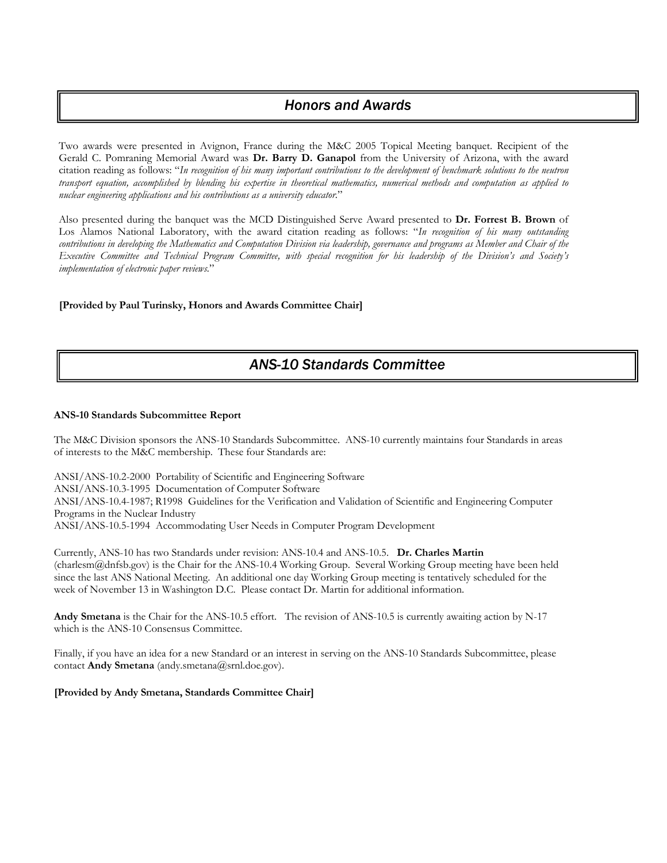### *Honors and Awards*

Two awards were presented in Avignon, France during the M&C 2005 Topical Meeting banquet. Recipient of the Gerald C. Pomraning Memorial Award was **Dr. Barry D. Ganapol** from the University of Arizona, with the award citation reading as follows: "*In recognition of his many important contributions to the development of benchmark solutions to the neutron transport equation, accomplished by blending his expertise in theoretical mathematics, numerical methods and computation as applied to nuclear engineering applications and his contributions as a university educator*."

Also presented during the banquet was the MCD Distinguished Serve Award presented to **Dr. Forrest B. Brown** of Los Alamos National Laboratory, with the award citation reading as follows: "*In recognition of his many outstanding contributions in developing the Mathematics and Computation Division via leadership, governance and programs as Member and Chair of the Executive Committee and Technical Program Committee, with special recognition for his leadership of the Division's and Society's implementation of electronic paper reviews.*"

#### **[Provided by Paul Turinsky, Honors and Awards Committee Chair]**

# *ANS-10 Standards Committee*

#### **ANS-10 Standards Subcommittee Report**

The M&C Division sponsors the ANS-10 Standards Subcommittee. ANS-10 currently maintains four Standards in areas of interests to the M&C membership. These four Standards are:

ANSI/ANS-10.2-2000 Portability of Scientific and Engineering Software ANSI/ANS-10.3-1995 Documentation of Computer Software ANSI/ANS-10.4-1987; R1998 Guidelines for the Verification and Validation of Scientific and Engineering Computer Programs in the Nuclear Industry ANSI/ANS-10.5-1994 Accommodating User Needs in Computer Program Development

Currently, ANS-10 has two Standards under revision: ANS-10.4 and ANS-10.5. **Dr. Charles Martin** (charlesm@dnfsb.gov) is the Chair for the ANS-10.4 Working Group. Several Working Group meeting have been held since the last ANS National Meeting. An additional one day Working Group meeting is tentatively scheduled for the week of November 13 in Washington D.C. Please contact Dr. Martin for additional information.

**Andy Smetana** is the Chair for the ANS-10.5 effort. The revision of ANS-10.5 is currently awaiting action by N-17 which is the ANS-10 Consensus Committee.

Finally, if you have an idea for a new Standard or an interest in serving on the ANS-10 Standards Subcommittee, please contact Andy Smetana (andy.smetana@srnl.doe.gov).

#### **[Provided by Andy Smetana, Standards Committee Chair]**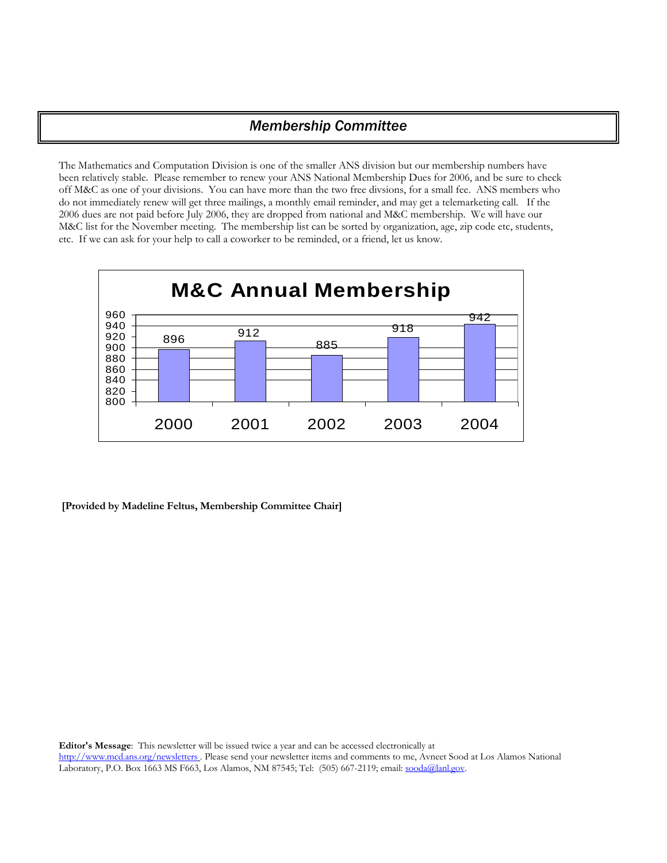# *Membership Committee*

The Mathematics and Computation Division is one of the smaller ANS division but our membership numbers have been relatively stable. Please remember to renew your ANS National Membership Dues for 2006, and be sure to check off M&C as one of your divisions. You can have more than the two free divsions, for a small fee. ANS members who do not immediately renew will get three mailings, a monthly email reminder, and may get a telemarketing call. If the 2006 dues are not paid before July 2006, they are dropped from national and M&C membership. We will have our M&C list for the November meeting. The membership list can be sorted by organization, age, zip code etc, students, etc. If we can ask for your help to call a coworker to be reminded, or a friend, let us know.



 **[Provided by Madeline Feltus, Membership Committee Chair]**

**Editor's Message**: This newsletter will be issued twice a year and can be accessed electronically at <http://www.mcd.ans.org/newsletters> . Please send your newsletter items and comments to me, Avneet Sood at Los Alamos National Laboratory, P.O. Box 1663 MS F663, Los Alamos, NM 87545; Tel: (505) 667-2119; email: [sooda@lanl.gov.](mailto:sooda@lanl.gov)